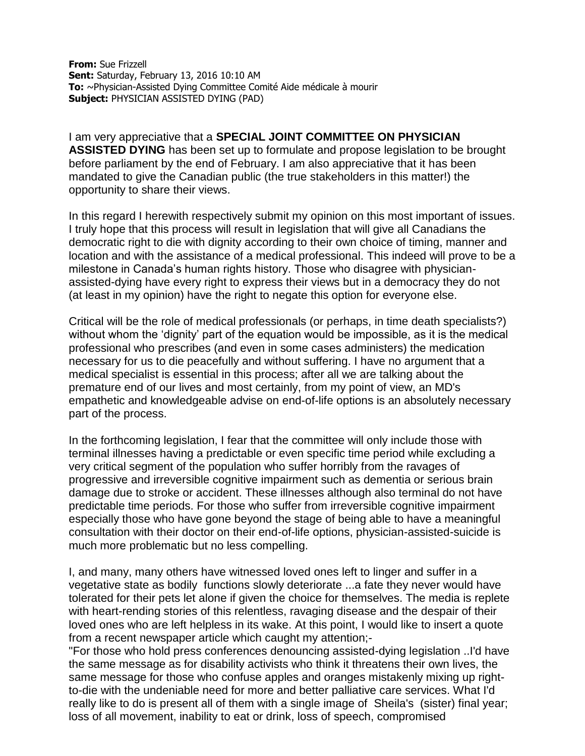**From:** Sue Frizzell **Sent:** Saturday, February 13, 2016 10:10 AM **To:** ~Physician-Assisted Dying Committee Comité Aide médicale à mourir **Subject:** PHYSICIAN ASSISTED DYING (PAD)

I am very appreciative that a **SPECIAL JOINT COMMITTEE ON PHYSICIAN ASSISTED DYING** has been set up to formulate and propose legislation to be brought before parliament by the end of February. I am also appreciative that it has been mandated to give the Canadian public (the true stakeholders in this matter!) the opportunity to share their views.

In this regard I herewith respectively submit my opinion on this most important of issues. I truly hope that this process will result in legislation that will give all Canadians the democratic right to die with dignity according to their own choice of timing, manner and location and with the assistance of a medical professional. This indeed will prove to be a milestone in Canada's human rights history. Those who disagree with physicianassisted-dying have every right to express their views but in a democracy they do not (at least in my opinion) have the right to negate this option for everyone else.

Critical will be the role of medical professionals (or perhaps, in time death specialists?) without whom the 'dignity' part of the equation would be impossible, as it is the medical professional who prescribes (and even in some cases administers) the medication necessary for us to die peacefully and without suffering. I have no argument that a medical specialist is essential in this process; after all we are talking about the premature end of our lives and most certainly, from my point of view, an MD's empathetic and knowledgeable advise on end-of-life options is an absolutely necessary part of the process.

In the forthcoming legislation, I fear that the committee will only include those with terminal illnesses having a predictable or even specific time period while excluding a very critical segment of the population who suffer horribly from the ravages of progressive and irreversible cognitive impairment such as dementia or serious brain damage due to stroke or accident. These illnesses although also terminal do not have predictable time periods. For those who suffer from irreversible cognitive impairment especially those who have gone beyond the stage of being able to have a meaningful consultation with their doctor on their end-of-life options, physician-assisted-suicide is much more problematic but no less compelling.

I, and many, many others have witnessed loved ones left to linger and suffer in a vegetative state as bodily functions slowly deteriorate ...a fate they never would have tolerated for their pets let alone if given the choice for themselves. The media is replete with heart-rending stories of this relentless, ravaging disease and the despair of their loved ones who are left helpless in its wake. At this point, I would like to insert a quote from a recent newspaper article which caught my attention;-

"For those who hold press conferences denouncing assisted-dying legislation ..I'd have the same message as for disability activists who think it threatens their own lives, the same message for those who confuse apples and oranges mistakenly mixing up rightto-die with the undeniable need for more and better palliative care services. What I'd really like to do is present all of them with a single image of Sheila's (sister) final year; loss of all movement, inability to eat or drink, loss of speech, compromised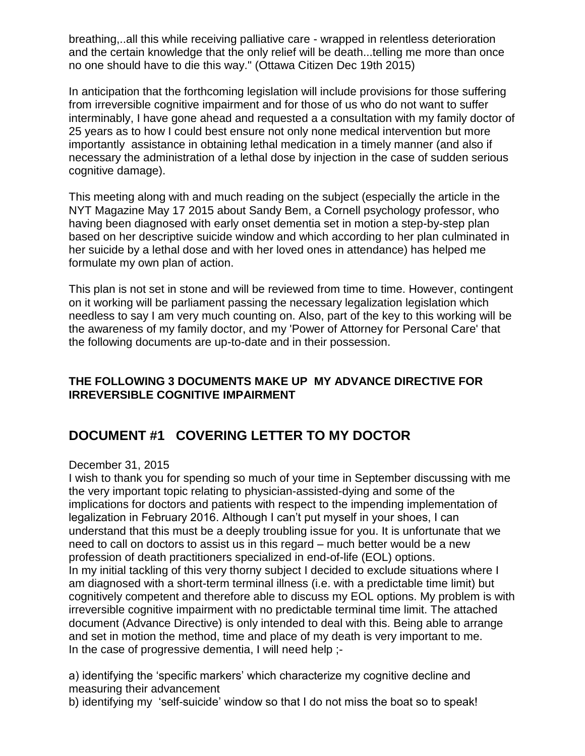breathing,..all this while receiving palliative care - wrapped in relentless deterioration and the certain knowledge that the only relief will be death...telling me more than once no one should have to die this way." (Ottawa Citizen Dec 19th 2015)

In anticipation that the forthcoming legislation will include provisions for those suffering from irreversible cognitive impairment and for those of us who do not want to suffer interminably, I have gone ahead and requested a a consultation with my family doctor of 25 years as to how I could best ensure not only none medical intervention but more importantly assistance in obtaining lethal medication in a timely manner (and also if necessary the administration of a lethal dose by injection in the case of sudden serious cognitive damage).

This meeting along with and much reading on the subject (especially the article in the NYT Magazine May 17 2015 about Sandy Bem, a Cornell psychology professor, who having been diagnosed with early onset dementia set in motion a step-by-step plan based on her descriptive suicide window and which according to her plan culminated in her suicide by a lethal dose and with her loved ones in attendance) has helped me formulate my own plan of action.

This plan is not set in stone and will be reviewed from time to time. However, contingent on it working will be parliament passing the necessary legalization legislation which needless to say I am very much counting on. Also, part of the key to this working will be the awareness of my family doctor, and my 'Power of Attorney for Personal Care' that the following documents are up-to-date and in their possession.

#### **THE FOLLOWING 3 DOCUMENTS MAKE UP MY ADVANCE DIRECTIVE FOR IRREVERSIBLE COGNITIVE IMPAIRMENT**

# **DOCUMENT #1 COVERING LETTER TO MY DOCTOR**

#### December 31, 2015

I wish to thank you for spending so much of your time in September discussing with me the very important topic relating to physician-assisted-dying and some of the implications for doctors and patients with respect to the impending implementation of legalization in February 2016. Although I can't put myself in your shoes, I can understand that this must be a deeply troubling issue for you. It is unfortunate that we need to call on doctors to assist us in this regard – much better would be a new profession of death practitioners specialized in end-of-life (EOL) options. In my initial tackling of this very thorny subject I decided to exclude situations where I am diagnosed with a short-term terminal illness (i.e. with a predictable time limit) but cognitively competent and therefore able to discuss my EOL options. My problem is with irreversible cognitive impairment with no predictable terminal time limit. The attached document (Advance Directive) is only intended to deal with this. Being able to arrange and set in motion the method, time and place of my death is very important to me. In the case of progressive dementia, I will need help ;-

a) identifying the 'specific markers' which characterize my cognitive decline and measuring their advancement

b) identifying my 'self-suicide' window so that I do not miss the boat so to speak!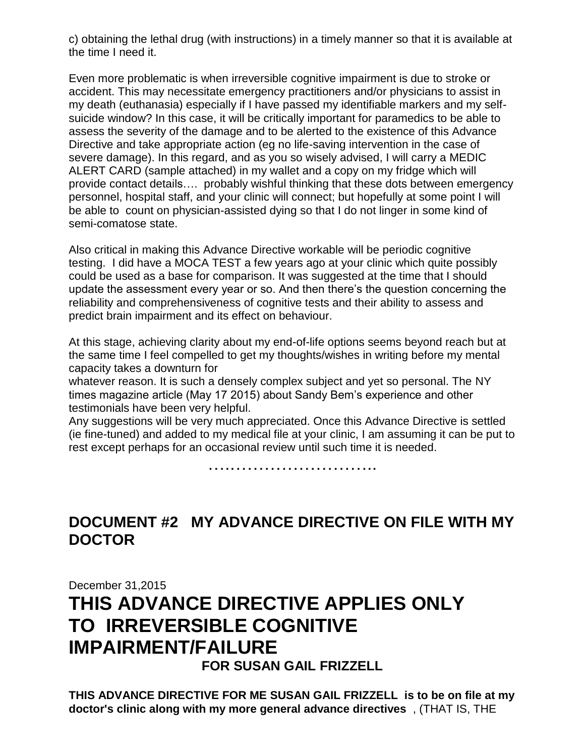c) obtaining the lethal drug (with instructions) in a timely manner so that it is available at the time I need it.

Even more problematic is when irreversible cognitive impairment is due to stroke or accident. This may necessitate emergency practitioners and/or physicians to assist in my death (euthanasia) especially if I have passed my identifiable markers and my selfsuicide window? In this case, it will be critically important for paramedics to be able to assess the severity of the damage and to be alerted to the existence of this Advance Directive and take appropriate action (eg no life-saving intervention in the case of severe damage). In this regard, and as you so wisely advised, I will carry a MEDIC ALERT CARD (sample attached) in my wallet and a copy on my fridge which will provide contact details…. probably wishful thinking that these dots between emergency personnel, hospital staff, and your clinic will connect; but hopefully at some point I will be able to count on physician-assisted dying so that I do not linger in some kind of semi-comatose state.

Also critical in making this Advance Directive workable will be periodic cognitive testing. I did have a MOCA TEST a few years ago at your clinic which quite possibly could be used as a base for comparison. It was suggested at the time that I should update the assessment every year or so. And then there's the question concerning the reliability and comprehensiveness of cognitive tests and their ability to assess and predict brain impairment and its effect on behaviour.

At this stage, achieving clarity about my end-of-life options seems beyond reach but at the same time I feel compelled to get my thoughts/wishes in writing before my mental capacity takes a downturn for

whatever reason. It is such a densely complex subject and yet so personal. The NY times magazine article (May 17 2015) about Sandy Bem's experience and other testimonials have been very helpful.

Any suggestions will be very much appreciated. Once this Advance Directive is settled (ie fine-tuned) and added to my medical file at your clinic, I am assuming it can be put to rest except perhaps for an occasional review until such time it is needed.

….……………………..

# **DOCUMENT #2 MY ADVANCE DIRECTIVE ON FILE WITH MY DOCTOR**

December 31,2015

# **THIS ADVANCE DIRECTIVE APPLIES ONLY TO IRREVERSIBLE COGNITIVE IMPAIRMENT/FAILURE**

**FOR SUSAN GAIL FRIZZELL**

**THIS ADVANCE DIRECTIVE FOR ME SUSAN GAIL FRIZZELL is to be on file at my doctor's clinic along with my more general advance directives** , (THAT IS, THE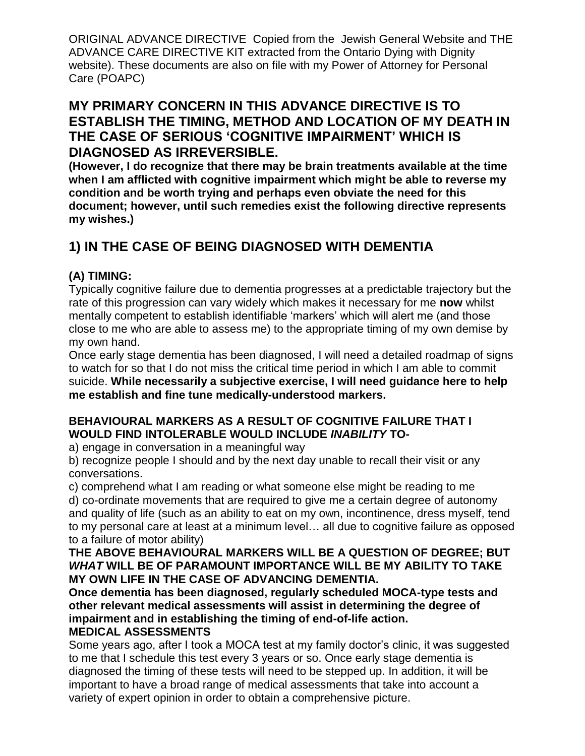ORIGINAL ADVANCE DIRECTIVE Copied from the Jewish General Website and THE ADVANCE CARE DIRECTIVE KIT extracted from the Ontario Dying with Dignity website). These documents are also on file with my Power of Attorney for Personal Care (POAPC)

### **MY PRIMARY CONCERN IN THIS ADVANCE DIRECTIVE IS TO ESTABLISH THE TIMING, METHOD AND LOCATION OF MY DEATH IN THE CASE OF SERIOUS 'COGNITIVE IMPAIRMENT' WHICH IS DIAGNOSED AS IRREVERSIBLE.**

**(However, I do recognize that there may be brain treatments available at the time when I am afflicted with cognitive impairment which might be able to reverse my condition and be worth trying and perhaps even obviate the need for this document; however, until such remedies exist the following directive represents my wishes.)**

# **1) IN THE CASE OF BEING DIAGNOSED WITH DEMENTIA**

### **(A) TIMING:**

Typically cognitive failure due to dementia progresses at a predictable trajectory but the rate of this progression can vary widely which makes it necessary for me **now** whilst mentally competent to establish identifiable 'markers' which will alert me (and those close to me who are able to assess me) to the appropriate timing of my own demise by my own hand.

Once early stage dementia has been diagnosed, I will need a detailed roadmap of signs to watch for so that I do not miss the critical time period in which I am able to commit suicide. **While necessarily a subjective exercise, I will need guidance here to help me establish and fine tune medically-understood markers.**

#### **BEHAVIOURAL MARKERS AS A RESULT OF COGNITIVE FAILURE THAT I WOULD FIND INTOLERABLE WOULD INCLUDE** *INABILITY* **TO-**

a) engage in conversation in a meaningful way

b) recognize people I should and by the next day unable to recall their visit or any conversations.

c) comprehend what I am reading or what someone else might be reading to me

d) co-ordinate movements that are required to give me a certain degree of autonomy and quality of life (such as an ability to eat on my own, incontinence, dress myself, tend to my personal care at least at a minimum level… all due to cognitive failure as opposed to a failure of motor ability)

#### **THE ABOVE BEHAVIOURAL MARKERS WILL BE A QUESTION OF DEGREE; BUT** *WHAT* **WILL BE OF PARAMOUNT IMPORTANCE WILL BE MY ABILITY TO TAKE MY OWN LIFE IN THE CASE OF ADVANCING DEMENTIA.**

**Once dementia has been diagnosed, regularly scheduled MOCA-type tests and other relevant medical assessments will assist in determining the degree of impairment and in establishing the timing of end-of-life action. MEDICAL ASSESSMENTS**

#### Some years ago, after I took a MOCA test at my family doctor's clinic, it was suggested to me that I schedule this test every 3 years or so. Once early stage dementia is diagnosed the timing of these tests will need to be stepped up. In addition, it will be important to have a broad range of medical assessments that take into account a variety of expert opinion in order to obtain a comprehensive picture.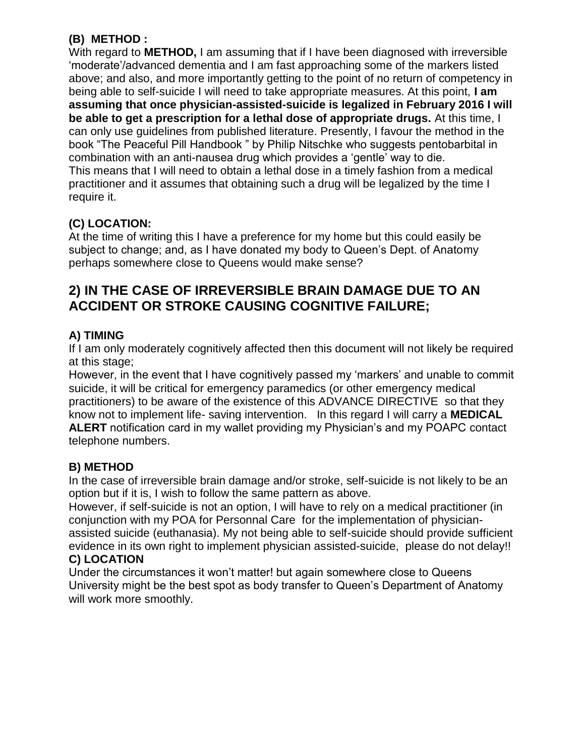### **(B) METHOD :**

With regard to **METHOD,** I am assuming that if I have been diagnosed with irreversible 'moderate'/advanced dementia and I am fast approaching some of the markers listed above; and also, and more importantly getting to the point of no return of competency in being able to self-suicide I will need to take appropriate measures. At this point, **I am assuming that once physician-assisted-suicide is legalized in February 2016 I will be able to get a prescription for a lethal dose of appropriate drugs.** At this time, I can only use guidelines from published literature. Presently, I favour the method in the book "The Peaceful Pill Handbook " by Philip Nitschke who suggests pentobarbital in combination with an anti-nausea drug which provides a 'gentle' way to die. This means that I will need to obtain a lethal dose in a timely fashion from a medical practitioner and it assumes that obtaining such a drug will be legalized by the time I require it.

### **(C) LOCATION:**

At the time of writing this I have a preference for my home but this could easily be subject to change; and, as I have donated my body to Queen's Dept. of Anatomy perhaps somewhere close to Queens would make sense?

## **2) IN THE CASE OF IRREVERSIBLE BRAIN DAMAGE DUE TO AN ACCIDENT OR STROKE CAUSING COGNITIVE FAILURE;**

### **A) TIMING**

If I am only moderately cognitively affected then this document will not likely be required at this stage;

However, in the event that I have cognitively passed my 'markers' and unable to commit suicide, it will be critical for emergency paramedics (or other emergency medical practitioners) to be aware of the existence of this ADVANCE DIRECTIVE so that they know not to implement life- saving intervention. In this regard I will carry a **MEDICAL ALERT** notification card in my wallet providing my Physician's and my POAPC contact telephone numbers.

### **B) METHOD**

In the case of irreversible brain damage and/or stroke, self-suicide is not likely to be an option but if it is, I wish to follow the same pattern as above.

However, if self-suicide is not an option, I will have to rely on a medical practitioner (in conjunction with my POA for Personnal Care for the implementation of physicianassisted suicide (euthanasia). My not being able to self-suicide should provide sufficient evidence in its own right to implement physician assisted-suicide, please do not delay!!

#### **C) LOCATION**

Under the circumstances it won't matter! but again somewhere close to Queens University might be the best spot as body transfer to Queen's Department of Anatomy will work more smoothly.